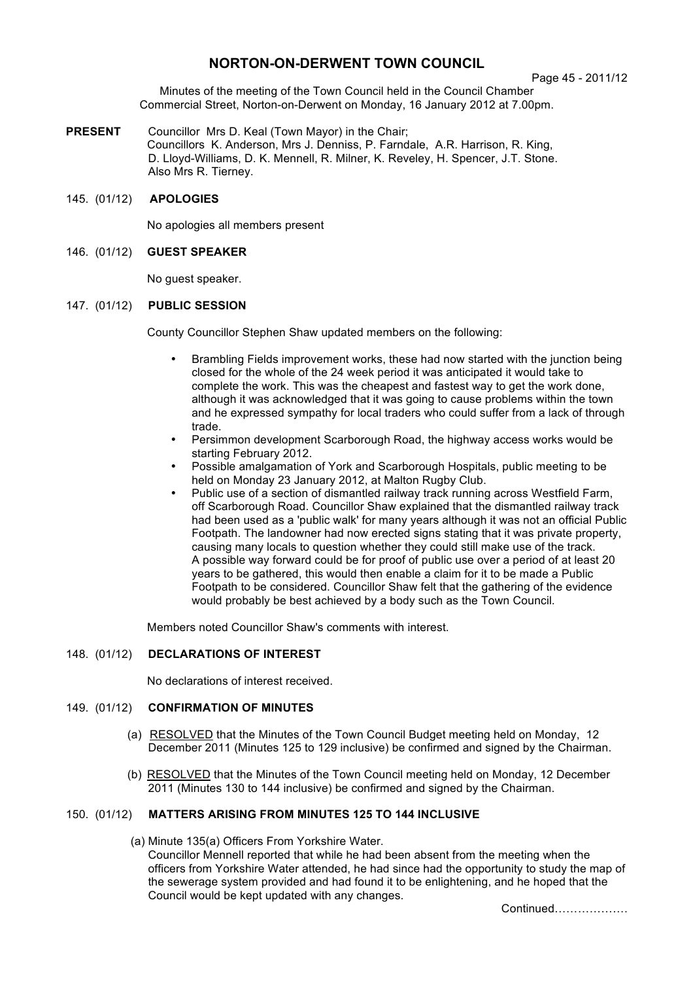# **NORTON-ON-DERWENT TOWN COUNCIL**

#### Page 45 - 2011/12

Minutes of the meeting of the Town Council held in the Council Chamber Commercial Street, Norton-on-Derwent on Monday, 16 January 2012 at 7.00pm.

**PRESENT** Councillor Mrs D. Keal (Town Mayor) in the Chair; Councillors K. Anderson, Mrs J. Denniss, P. Farndale, A.R. Harrison, R. King, D. Lloyd-Williams, D. K. Mennell, R. Milner, K. Reveley, H. Spencer, J.T. Stone. Also Mrs R. Tierney.

### 145. (01/12) **APOLOGIES**

No apologies all members present

#### 146. (01/12) **GUEST SPEAKER**

No guest speaker.

### 147. (01/12) **PUBLIC SESSION**

County Councillor Stephen Shaw updated members on the following:

- Brambling Fields improvement works, these had now started with the junction being closed for the whole of the 24 week period it was anticipated it would take to complete the work. This was the cheapest and fastest way to get the work done, although it was acknowledged that it was going to cause problems within the town and he expressed sympathy for local traders who could suffer from a lack of through trade.
- Persimmon development Scarborough Road, the highway access works would be starting February 2012.
- Possible amalgamation of York and Scarborough Hospitals, public meeting to be held on Monday 23 January 2012, at Malton Rugby Club.
- Public use of a section of dismantled railway track running across Westfield Farm, off Scarborough Road. Councillor Shaw explained that the dismantled railway track had been used as a 'public walk' for many years although it was not an official Public Footpath. The landowner had now erected signs stating that it was private property, causing many locals to question whether they could still make use of the track. A possible way forward could be for proof of public use over a period of at least 20 years to be gathered, this would then enable a claim for it to be made a Public Footpath to be considered. Councillor Shaw felt that the gathering of the evidence would probably be best achieved by a body such as the Town Council.

Members noted Councillor Shaw's comments with interest.

#### 148. (01/12) **DECLARATIONS OF INTEREST**

No declarations of interest received.

### 149. (01/12) **CONFIRMATION OF MINUTES**

- (a) RESOLVED that the Minutes of the Town Council Budget meeting held on Monday, 12 December 2011 (Minutes 125 to 129 inclusive) be confirmed and signed by the Chairman.
- (b) RESOLVED that the Minutes of the Town Council meeting held on Monday, 12 December 2011 (Minutes 130 to 144 inclusive) be confirmed and signed by the Chairman.

## 150. (01/12) **MATTERS ARISING FROM MINUTES 125 TO 144 INCLUSIVE**

(a) Minute 135(a) Officers From Yorkshire Water. Councillor Mennell reported that while he had been absent from the meeting when the officers from Yorkshire Water attended, he had since had the opportunity to study the map of the sewerage system provided and had found it to be enlightening, and he hoped that the Council would be kept updated with any changes.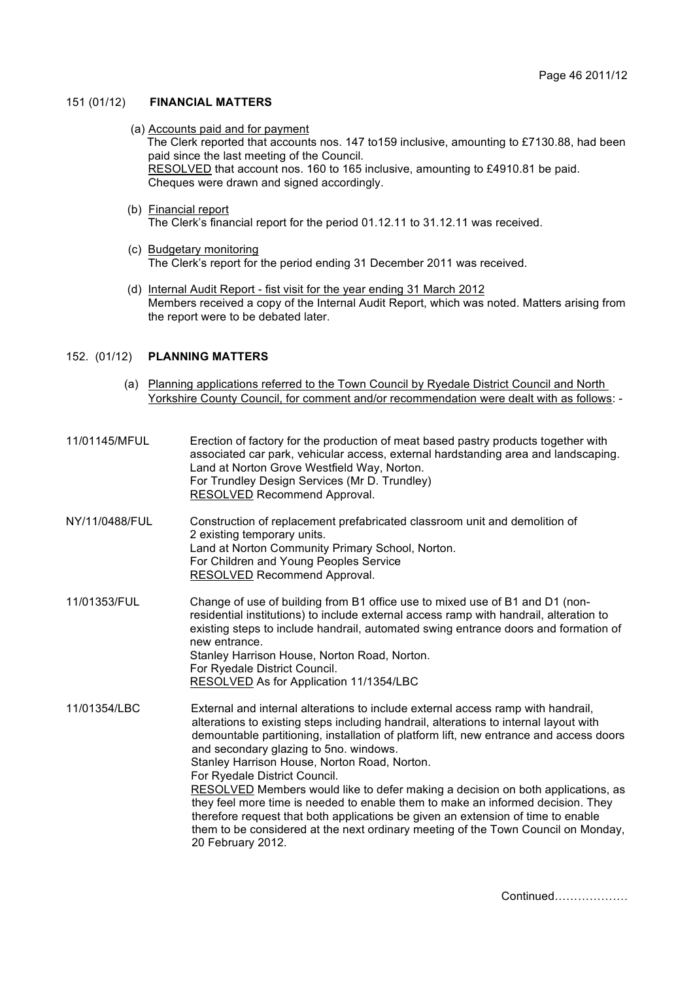#### 151 (01/12) **FINANCIAL MATTERS**

(a) Accounts paid and for payment

The Clerk reported that accounts nos. 147 to159 inclusive, amounting to £7130.88, had been paid since the last meeting of the Council.

 RESOLVED that account nos. 160 to 165 inclusive, amounting to £4910.81 be paid. Cheques were drawn and signed accordingly.

- (b) Financial report The Clerk's financial report for the period 01.12.11 to 31.12.11 was received.
- (c) Budgetary monitoring The Clerk's report for the period ending 31 December 2011 was received.
- (d) Internal Audit Report fist visit for the year ending 31 March 2012 Members received a copy of the Internal Audit Report, which was noted. Matters arising from the report were to be debated later.

#### 152. (01/12) **PLANNING MATTERS**

- (a) Planning applications referred to the Town Council by Ryedale District Council and North Yorkshire County Council, for comment and/or recommendation were dealt with as follows: -
- 11/01145/MFUL Erection of factory for the production of meat based pastry products together with associated car park, vehicular access, external hardstanding area and landscaping. Land at Norton Grove Westfield Way, Norton. For Trundley Design Services (Mr D. Trundley) RESOLVED Recommend Approval.
- NY/11/0488/FUL Construction of replacement prefabricated classroom unit and demolition of 2 existing temporary units. Land at Norton Community Primary School, Norton. For Children and Young Peoples Service RESOLVED Recommend Approval.
- 11/01353/FUL Change of use of building from B1 office use to mixed use of B1 and D1 (nonresidential institutions) to include external access ramp with handrail, alteration to existing steps to include handrail, automated swing entrance doors and formation of new entrance. Stanley Harrison House, Norton Road, Norton. For Ryedale District Council. RESOLVED As for Application 11/1354/LBC
- 11/01354/LBC External and internal alterations to include external access ramp with handrail, alterations to existing steps including handrail, alterations to internal layout with demountable partitioning, installation of platform lift, new entrance and access doors and secondary glazing to 5no. windows. Stanley Harrison House, Norton Road, Norton. For Ryedale District Council. RESOLVED Members would like to defer making a decision on both applications, as they feel more time is needed to enable them to make an informed decision. They therefore request that both applications be given an extension of time to enable them to be considered at the next ordinary meeting of the Town Council on Monday,

20 February 2012.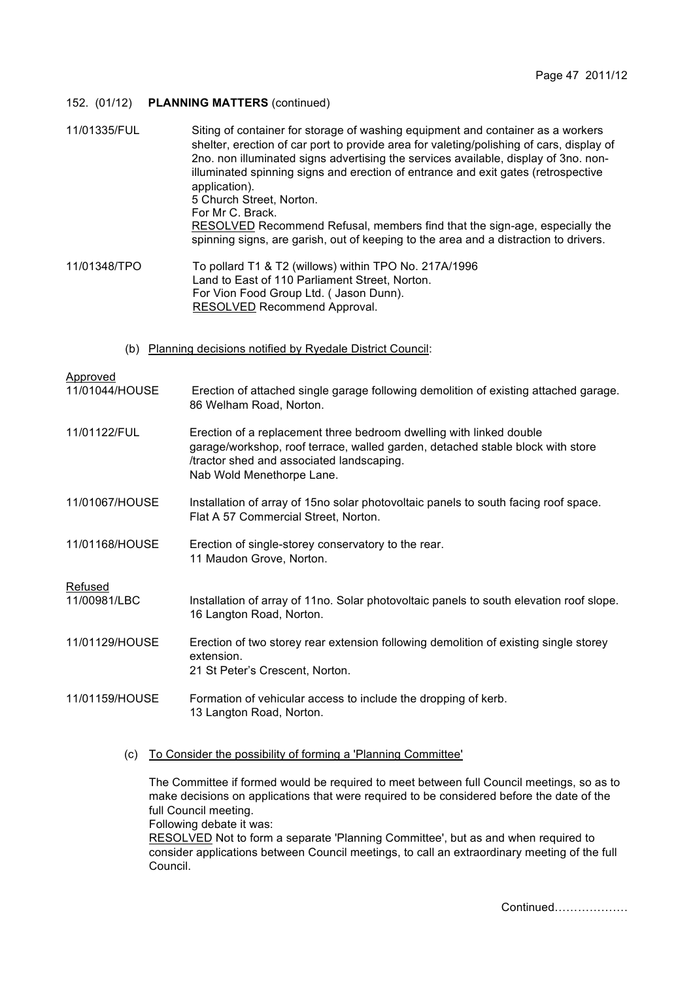### 152. (01/12) **PLANNING MATTERS** (continued)

| 11/01335/FUL                                                 | Siting of container for storage of washing equipment and container as a workers<br>shelter, erection of car port to provide area for valeting/polishing of cars, display of<br>2no. non illuminated signs advertising the services available, display of 3no. non-<br>illuminated spinning signs and erection of entrance and exit gates (retrospective<br>application).<br>5 Church Street, Norton.<br>For Mr C. Brack.<br><b>RESOLVED</b> Recommend Refusal, members find that the sign-age, especially the<br>spinning signs, are garish, out of keeping to the area and a distraction to drivers. |
|--------------------------------------------------------------|-------------------------------------------------------------------------------------------------------------------------------------------------------------------------------------------------------------------------------------------------------------------------------------------------------------------------------------------------------------------------------------------------------------------------------------------------------------------------------------------------------------------------------------------------------------------------------------------------------|
| 11/01348/TPO                                                 | To pollard T1 & T2 (willows) within TPO No. 217A/1996<br>Land to East of 110 Parliament Street, Norton.<br>For Vion Food Group Ltd. (Jason Dunn).<br>RESOLVED Recommend Approval.                                                                                                                                                                                                                                                                                                                                                                                                                     |
| (b) Planning decisions notified by Ryedale District Council: |                                                                                                                                                                                                                                                                                                                                                                                                                                                                                                                                                                                                       |
| Approved<br>11/01044/HOUSE                                   | Erection of attached single garage following demolition of existing attached garage.<br>86 Welham Road, Norton.                                                                                                                                                                                                                                                                                                                                                                                                                                                                                       |
| 11/01122/FUL                                                 | Erection of a replacement three bedroom dwelling with linked double<br>garage/workshop, roof terrace, walled garden, detached stable block with store<br>/tractor shed and associated landscaping.<br>Nab Wold Menethorpe Lane.                                                                                                                                                                                                                                                                                                                                                                       |
| 11/01067/HOUSE                                               | Installation of array of 15no solar photovoltaic panels to south facing roof space.<br>Flat A 57 Commercial Street, Norton.                                                                                                                                                                                                                                                                                                                                                                                                                                                                           |
| 11/01168/HOUSE                                               | Erection of single-storey conservatory to the rear.<br>11 Maudon Grove, Norton.                                                                                                                                                                                                                                                                                                                                                                                                                                                                                                                       |
|                                                              |                                                                                                                                                                                                                                                                                                                                                                                                                                                                                                                                                                                                       |
| Refused<br>11/00981/LBC                                      | Installation of array of 11no. Solar photovoltaic panels to south elevation roof slope.<br>16 Langton Road, Norton.                                                                                                                                                                                                                                                                                                                                                                                                                                                                                   |
| 11/01129/HOUSE                                               | Erection of two storey rear extension following demolition of existing single storey<br>extension.<br>21 St Peter's Crescent, Norton.                                                                                                                                                                                                                                                                                                                                                                                                                                                                 |
| 11/01159/HOUSE                                               | Formation of vehicular access to include the dropping of kerb.<br>13 Langton Road, Norton.                                                                                                                                                                                                                                                                                                                                                                                                                                                                                                            |

(c) To Consider the possibility of forming a 'Planning Committee'

The Committee if formed would be required to meet between full Council meetings, so as to make decisions on applications that were required to be considered before the date of the full Council meeting. Following debate it was:

RESOLVED Not to form a separate 'Planning Committee', but as and when required to consider applications between Council meetings, to call an extraordinary meeting of the full Council.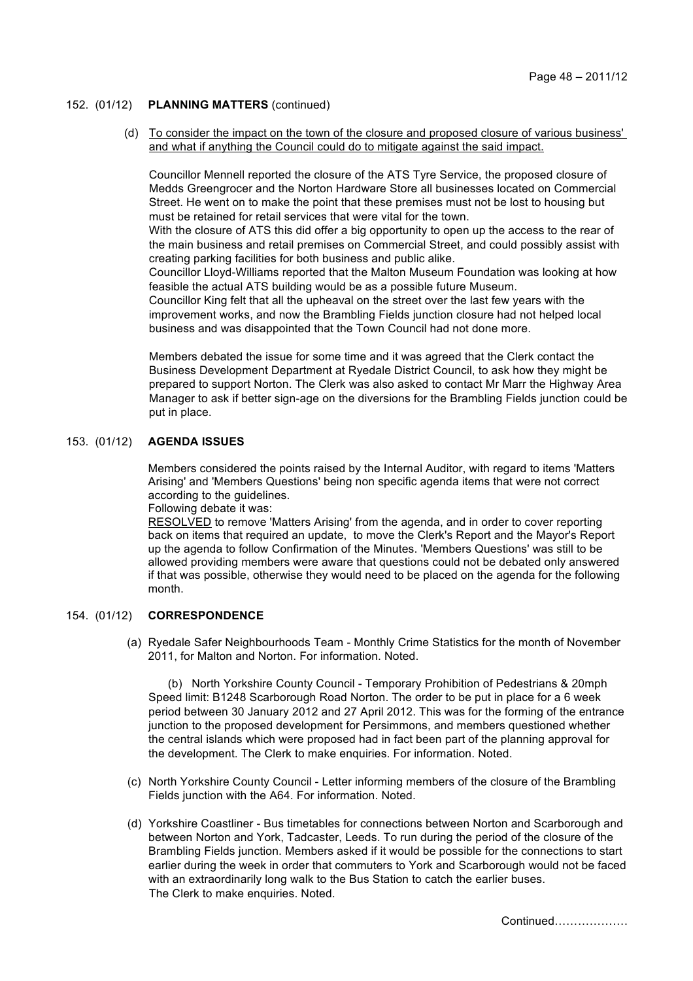### 152. (01/12) **PLANNING MATTERS** (continued)

 (d) To consider the impact on the town of the closure and proposed closure of various business' and what if anything the Council could do to mitigate against the said impact.

Councillor Mennell reported the closure of the ATS Tyre Service, the proposed closure of Medds Greengrocer and the Norton Hardware Store all businesses located on Commercial Street. He went on to make the point that these premises must not be lost to housing but must be retained for retail services that were vital for the town.

With the closure of ATS this did offer a big opportunity to open up the access to the rear of the main business and retail premises on Commercial Street, and could possibly assist with creating parking facilities for both business and public alike.

Councillor Lloyd-Williams reported that the Malton Museum Foundation was looking at how feasible the actual ATS building would be as a possible future Museum.

Councillor King felt that all the upheaval on the street over the last few years with the improvement works, and now the Brambling Fields junction closure had not helped local business and was disappointed that the Town Council had not done more.

Members debated the issue for some time and it was agreed that the Clerk contact the Business Development Department at Ryedale District Council, to ask how they might be prepared to support Norton. The Clerk was also asked to contact Mr Marr the Highway Area Manager to ask if better sign-age on the diversions for the Brambling Fields junction could be put in place.

## 153. (01/12) **AGENDA ISSUES**

 Members considered the points raised by the Internal Auditor, with regard to items 'Matters Arising' and 'Members Questions' being non specific agenda items that were not correct according to the guidelines.

Following debate it was:

RESOLVED to remove 'Matters Arising' from the agenda, and in order to cover reporting back on items that required an update, to move the Clerk's Report and the Mayor's Report up the agenda to follow Confirmation of the Minutes. 'Members Questions' was still to be allowed providing members were aware that questions could not be debated only answered if that was possible, otherwise they would need to be placed on the agenda for the following month.

### 154. (01/12) **CORRESPONDENCE**

 (a) Ryedale Safer Neighbourhoods Team - Monthly Crime Statistics for the month of November 2011, for Malton and Norton. For information. Noted.

 (b) North Yorkshire County Council - Temporary Prohibition of Pedestrians & 20mph Speed limit: B1248 Scarborough Road Norton. The order to be put in place for a 6 week period between 30 January 2012 and 27 April 2012. This was for the forming of the entrance junction to the proposed development for Persimmons, and members questioned whether the central islands which were proposed had in fact been part of the planning approval for the development. The Clerk to make enquiries. For information. Noted.

- (c) North Yorkshire County Council Letter informing members of the closure of the Brambling Fields junction with the A64. For information. Noted.
- (d) Yorkshire Coastliner Bus timetables for connections between Norton and Scarborough and between Norton and York, Tadcaster, Leeds. To run during the period of the closure of the Brambling Fields junction. Members asked if it would be possible for the connections to start earlier during the week in order that commuters to York and Scarborough would not be faced with an extraordinarily long walk to the Bus Station to catch the earlier buses. The Clerk to make enquiries. Noted.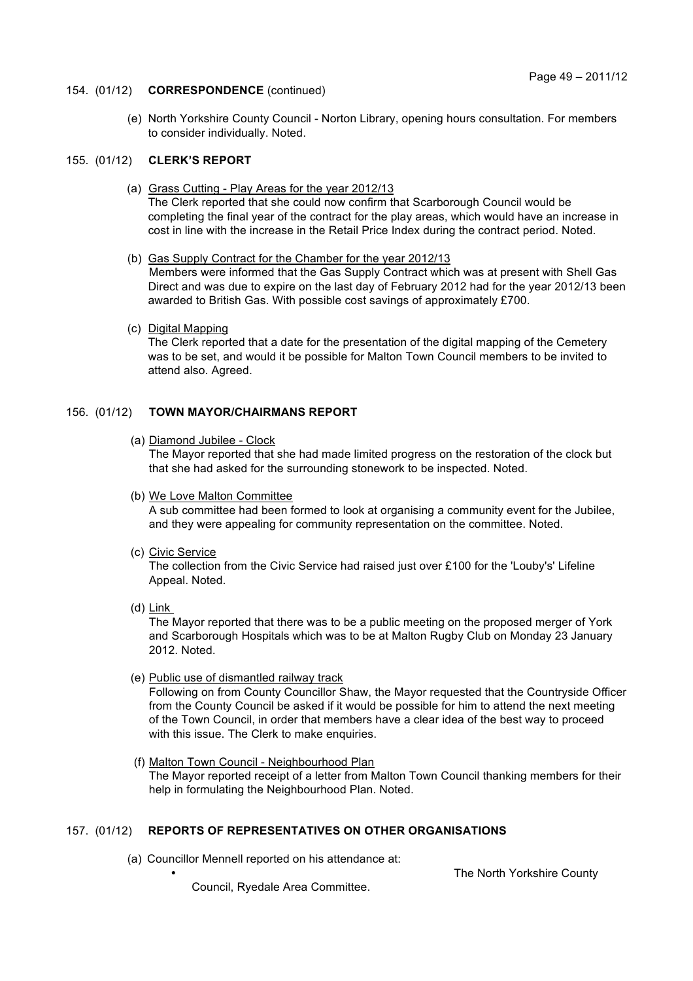#### 154. (01/12) **CORRESPONDENCE** (continued)

 (e) North Yorkshire County Council - Norton Library, opening hours consultation. For members to consider individually. Noted.

# 155. (01/12) **CLERK'S REPORT**

- (a) Grass Cutting Play Areas for the year 2012/13 The Clerk reported that she could now confirm that Scarborough Council would be completing the final year of the contract for the play areas, which would have an increase in cost in line with the increase in the Retail Price Index during the contract period. Noted.
- (b) Gas Supply Contract for the Chamber for the year 2012/13 Members were informed that the Gas Supply Contract which was at present with Shell Gas Direct and was due to expire on the last day of February 2012 had for the year 2012/13 been awarded to British Gas. With possible cost savings of approximately £700.
- (c) Digital Mapping

The Clerk reported that a date for the presentation of the digital mapping of the Cemetery was to be set, and would it be possible for Malton Town Council members to be invited to attend also. Agreed.

## 156. (01/12) **TOWN MAYOR/CHAIRMANS REPORT**

(a) Diamond Jubilee - Clock

The Mayor reported that she had made limited progress on the restoration of the clock but that she had asked for the surrounding stonework to be inspected. Noted.

- (b) We Love Malton Committee A sub committee had been formed to look at organising a community event for the Jubilee, and they were appealing for community representation on the committee. Noted.
- (c) Civic Service

The collection from the Civic Service had raised just over £100 for the 'Louby's' Lifeline Appeal. Noted.

(d) Link

The Mayor reported that there was to be a public meeting on the proposed merger of York and Scarborough Hospitals which was to be at Malton Rugby Club on Monday 23 January 2012. Noted.

(e) Public use of dismantled railway track

Following on from County Councillor Shaw, the Mayor requested that the Countryside Officer from the County Council be asked if it would be possible for him to attend the next meeting of the Town Council, in order that members have a clear idea of the best way to proceed with this issue. The Clerk to make enquiries.

 (f) Malton Town Council - Neighbourhood Plan The Mayor reported receipt of a letter from Malton Town Council thanking members for their help in formulating the Neighbourhood Plan. Noted.

# 157. (01/12) **REPORTS OF REPRESENTATIVES ON OTHER ORGANISATIONS**

(a) Councillor Mennell reported on his attendance at:

Council, Ryedale Area Committee.